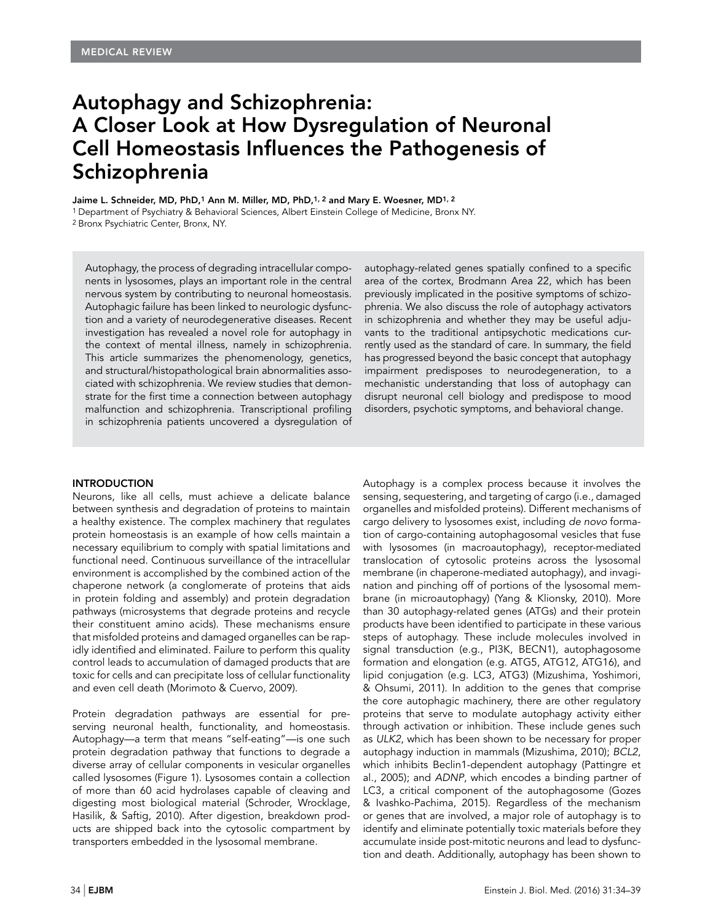# Autophagy and Schizophrenia: A Closer Look at How Dysregulation of Neuronal Cell Homeostasis Influences the Pathogenesis of Schizophrenia

Jaime L. Schneider, MD, PhD,1 Ann M. Miller, MD, PhD,1, 2 and Mary E. Woesner, MD1, 2

1 Department of Psychiatry & Behavioral Sciences, Albert Einstein College of Medicine, Bronx NY. 2 Bronx Psychiatric Center, Bronx, NY.

Autophagy, the process of degrading intracellular components in lysosomes, plays an important role in the central nervous system by contributing to neuronal homeostasis. Autophagic failure has been linked to neurologic dysfunction and a variety of neurodegenerative diseases. Recent investigation has revealed a novel role for autophagy in the context of mental illness, namely in schizophrenia. This article summarizes the phenomenology, genetics, and structural/histopathological brain abnormalities associated with schizophrenia. We review studies that demonstrate for the first time a connection between autophagy malfunction and schizophrenia. Transcriptional profiling in schizophrenia patients uncovered a dysregulation of autophagy-related genes spatially confined to a specific area of the cortex, Brodmann Area 22, which has been previously implicated in the positive symptoms of schizophrenia. We also discuss the role of autophagy activators in schizophrenia and whether they may be useful adjuvants to the traditional antipsychotic medications currently used as the standard of care. In summary, the field has progressed beyond the basic concept that autophagy impairment predisposes to neurodegeneration, to a mechanistic understanding that loss of autophagy can disrupt neuronal cell biology and predispose to mood disorders, psychotic symptoms, and behavioral change.

#### INTRODUCTION

Neurons, like all cells, must achieve a delicate balance between synthesis and degradation of proteins to maintain a healthy existence. The complex machinery that regulates protein homeostasis is an example of how cells maintain a necessary equilibrium to comply with spatial limitations and functional need. Continuous surveillance of the intracellular environment is accomplished by the combined action of the chaperone network (a conglomerate of proteins that aids in protein folding and assembly) and protein degradation pathways (microsystems that degrade proteins and recycle their constituent amino acids). These mechanisms ensure that misfolded proteins and damaged organelles can be rapidly identified and eliminated. Failure to perform this quality control leads to accumulation of damaged products that are toxic for cells and can precipitate loss of cellular functionality and even cell death (Morimoto & Cuervo, 2009).

Protein degradation pathways are essential for preserving neuronal health, functionality, and homeostasis. Autophagy—a term that means "self-eating"—is one such protein degradation pathway that functions to degrade a diverse array of cellular components in vesicular organelles called lysosomes (Figure 1). Lysosomes contain a collection of more than 60 acid hydrolases capable of cleaving and digesting most biological material (Schroder, Wrocklage, Hasilik, & Saftig, 2010). After digestion, breakdown products are shipped back into the cytosolic compartment by transporters embedded in the lysosomal membrane.

Autophagy is a complex process because it involves the sensing, sequestering, and targeting of cargo (i.e., damaged organelles and misfolded proteins). Different mechanisms of cargo delivery to lysosomes exist, including *de novo* formation of cargo-containing autophagosomal vesicles that fuse with lysosomes (in macroautophagy), receptor-mediated translocation of cytosolic proteins across the lysosomal membrane (in chaperone-mediated autophagy), and invagination and pinching off of portions of the lysosomal membrane (in microautophagy) (Yang & Klionsky, 2010). More than 30 autophagy-related genes (ATGs) and their protein products have been identified to participate in these various steps of autophagy. These include molecules involved in signal transduction (e.g., PI3K, BECN1), autophagosome formation and elongation (e.g. ATG5, ATG12, ATG16), and lipid conjugation (e.g. LC3, ATG3) (Mizushima, Yoshimori, & Ohsumi, 2011). In addition to the genes that comprise the core autophagic machinery, there are other regulatory proteins that serve to modulate autophagy activity either through activation or inhibition. These include genes such as *ULK2*, which has been shown to be necessary for proper autophagy induction in mammals (Mizushima, 2010); *BCL2*, which inhibits Beclin1-dependent autophagy (Pattingre et al., 2005); and *ADNP*, which encodes a binding partner of LC3, a critical component of the autophagosome (Gozes & Ivashko-Pachima, 2015). Regardless of the mechanism or genes that are involved, a major role of autophagy is to identify and eliminate potentially toxic materials before they accumulate inside post-mitotic neurons and lead to dysfunction and death. Additionally, autophagy has been shown to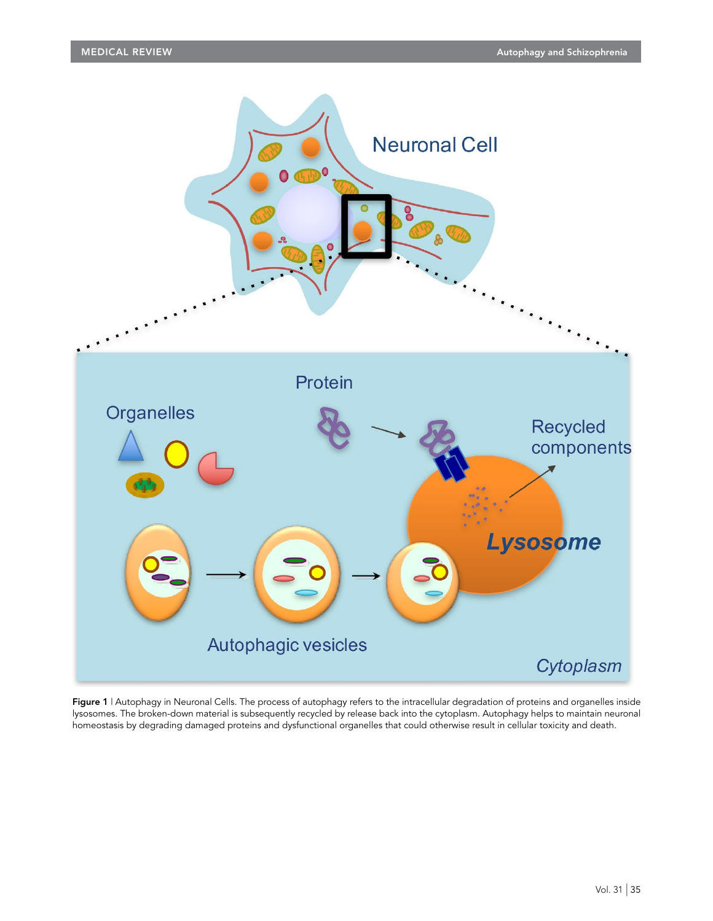

Figure 1 | Autophagy in Neuronal Cells. The process of autophagy refers to the intracellular degradation of proteins and organelles inside lysosomes. The broken-down material is subsequently recycled by release back into the cytoplasm. Autophagy helps to maintain neuronal homeostasis by degrading damaged proteins and dysfunctional organelles that could otherwise result in cellular toxicity and death.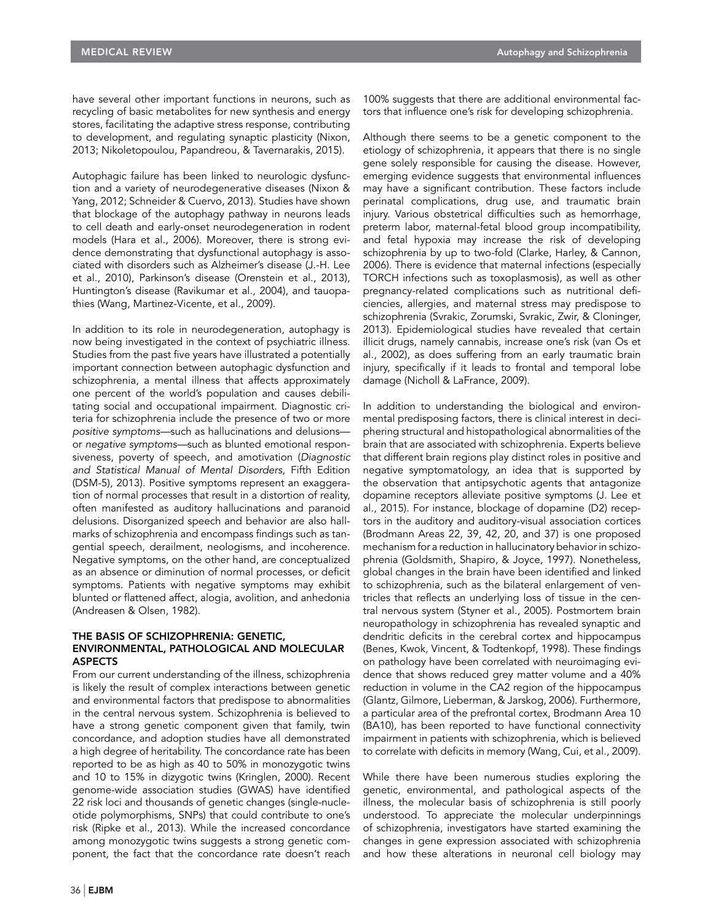have several other important functions in neurons, such as recycling of basic metabolites for new synthesis and energy stores, facilitating the adaptive stress response, contributing to development, and regulating synaptic plasticity (Nixon, 2013; Nikoletopoulou, Papandreou, & Tavernarakis, 2015).

Autophagic failure has been linked to neurologic dysfunction and a variety of neurodegenerative diseases (Nixon & Yang, 2012; Schneider & Cuervo, 2013). Studies have shown that blockage of the autophagy pathway in neurons leads to cell death and early-onset neurodegeneration in rodent models (Hara et al., 2006). Moreover, there is strong evidence demonstrating that dysfunctional autophagy is associated with disorders such as Alzheimer's disease (J.-H. Lee et al., 2010), Parkinson's disease (Orenstein et al., 2013), Huntington's disease (Ravikumar et al., 2004), and tauopathies (Wang, Martinez-Vicente, et al., 2009).

In addition to its role in neurodegeneration, autophagy is now being investigated in the context of psychiatric illness. Studies from the past five years have illustrated a potentially important connection between autophagic dysfunction and schizophrenia, a mental illness that affects approximately one percent of the world's population and causes debilitating social and occupational impairment. Diagnostic criteria for schizophrenia include the presence of two or more *positive symptoms—*such as hallucinations and delusions or *negative symptoms—*such as blunted emotional responsiveness, poverty of speech, and amotivation (*Diagnostic and Statistical Manual of Mental Disorders*, Fifth Edition (DSM-5), 2013). Positive symptoms represent an exaggeration of normal processes that result in a distortion of reality, often manifested as auditory hallucinations and paranoid delusions. Disorganized speech and behavior are also hallmarks of schizophrenia and encompass findings such as tangential speech, derailment, neologisms, and incoherence. Negative symptoms, on the other hand, are conceptualized as an absence or diminution of normal processes, or deficit symptoms. Patients with negative symptoms may exhibit blunted or flattened affect, alogia, avolition, and anhedonia (Andreasen & Olsen, 1982).

#### THE BASIS OF SCHIZOPHRENIA: GENETIC, ENVIRONMENTAL, PATHOLOGICAL AND MOLECULAR ASPECTS

From our current understanding of the illness, schizophrenia is likely the result of complex interactions between genetic and environmental factors that predispose to abnormalities in the central nervous system. Schizophrenia is believed to have a strong genetic component given that family, twin concordance, and adoption studies have all demonstrated a high degree of heritability. The concordance rate has been reported to be as high as 40 to 50% in monozygotic twins and 10 to 15% in dizygotic twins (Kringlen, 2000). Recent genome-wide association studies (GWAS) have identified 22 risk loci and thousands of genetic changes (single-nucleotide polymorphisms, SNPs) that could contribute to one's risk (Ripke et al., 2013). While the increased concordance among monozygotic twins suggests a strong genetic component, the fact that the concordance rate doesn't reach

100% suggests that there are additional environmental factors that influence one's risk for developing schizophrenia.

Although there seems to be a genetic component to the etiology of schizophrenia, it appears that there is no single gene solely responsible for causing the disease. However, emerging evidence suggests that environmental influences may have a significant contribution. These factors include perinatal complications, drug use, and traumatic brain injury. Various obstetrical difficulties such as hemorrhage, preterm labor, maternal-fetal blood group incompatibility, and fetal hypoxia may increase the risk of developing schizophrenia by up to two-fold (Clarke, Harley, & Cannon, 2006). There is evidence that maternal infections (especially TORCH infections such as toxoplasmosis), as well as other pregnancy-related complications such as nutritional deficiencies, allergies, and maternal stress may predispose to schizophrenia (Svrakic, Zorumski, Svrakic, Zwir, & Cloninger, 2013). Epidemiological studies have revealed that certain illicit drugs, namely cannabis, increase one's risk (van Os et al., 2002), as does suffering from an early traumatic brain injury, specifically if it leads to frontal and temporal lobe damage (Nicholl & LaFrance, 2009).

In addition to understanding the biological and environmental predisposing factors, there is clinical interest in deciphering structural and histopathological abnormalities of the brain that are associated with schizophrenia. Experts believe that different brain regions play distinct roles in positive and negative symptomatology, an idea that is supported by the observation that antipsychotic agents that antagonize dopamine receptors alleviate positive symptoms (J. Lee et al., 2015). For instance, blockage of dopamine (D2) receptors in the auditory and auditory-visual association cortices (Brodmann Areas 22, 39, 42, 20, and 37) is one proposed mechanism for a reduction in hallucinatory behavior in schizophrenia (Goldsmith, Shapiro, & Joyce, 1997). Nonetheless, global changes in the brain have been identified and linked to schizophrenia, such as the bilateral enlargement of ventricles that reflects an underlying loss of tissue in the central nervous system (Styner et al., 2005). Postmortem brain neuropathology in schizophrenia has revealed synaptic and dendritic deficits in the cerebral cortex and hippocampus (Benes, Kwok, Vincent, & Todtenkopf, 1998). These findings on pathology have been correlated with neuroimaging evidence that shows reduced grey matter volume and a 40% reduction in volume in the CA2 region of the hippocampus (Glantz, Gilmore, Lieberman, & Jarskog, 2006). Furthermore, a particular area of the prefrontal cortex, Brodmann Area 10 (BA10), has been reported to have functional connectivity impairment in patients with schizophrenia, which is believed to correlate with deficits in memory (Wang, Cui, et al., 2009).

While there have been numerous studies exploring the genetic, environmental, and pathological aspects of the illness, the molecular basis of schizophrenia is still poorly understood. To appreciate the molecular underpinnings of schizophrenia, investigators have started examining the changes in gene expression associated with schizophrenia and how these alterations in neuronal cell biology may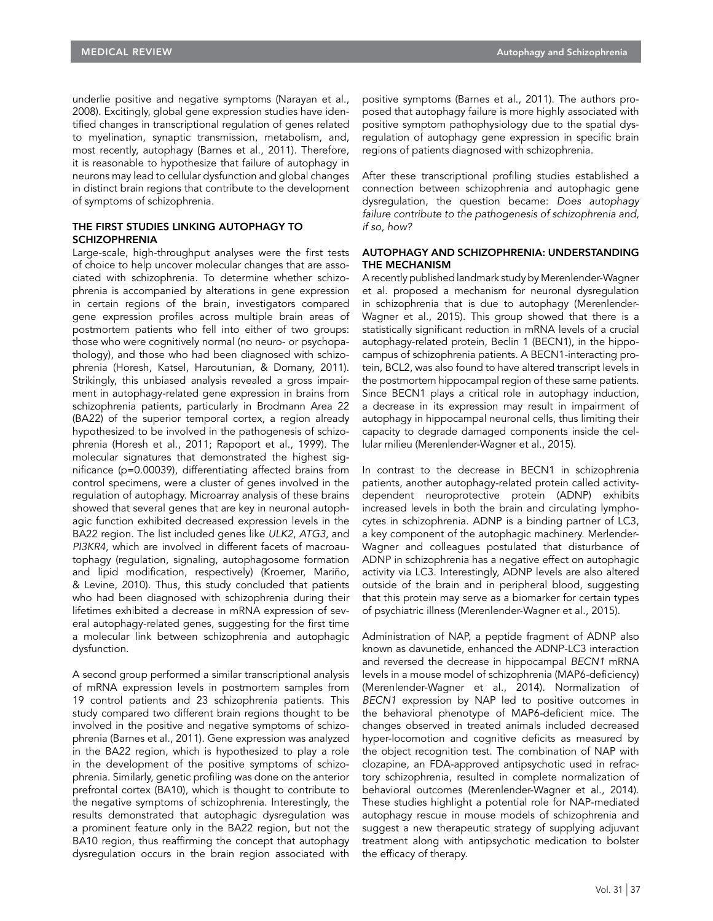underlie positive and negative symptoms (Narayan et al., 2008). Excitingly, global gene expression studies have identified changes in transcriptional regulation of genes related to myelination, synaptic transmission, metabolism, and, most recently, autophagy (Barnes et al., 2011). Therefore, it is reasonable to hypothesize that failure of autophagy in neurons may lead to cellular dysfunction and global changes in distinct brain regions that contribute to the development of symptoms of schizophrenia.

## THE FIRST STUDIES LINKING AUTOPHAGY TO **SCHIZOPHRENIA**

Large-scale, high-throughput analyses were the first tests of choice to help uncover molecular changes that are associated with schizophrenia. To determine whether schizophrenia is accompanied by alterations in gene expression in certain regions of the brain, investigators compared gene expression profiles across multiple brain areas of postmortem patients who fell into either of two groups: those who were cognitively normal (no neuro- or psychopathology), and those who had been diagnosed with schizophrenia (Horesh, Katsel, Haroutunian, & Domany, 2011). Strikingly, this unbiased analysis revealed a gross impairment in autophagy-related gene expression in brains from schizophrenia patients, particularly in Brodmann Area 22 (BA22) of the superior temporal cortex, a region already hypothesized to be involved in the pathogenesis of schizophrenia (Horesh et al., 2011; Rapoport et al., 1999). The molecular signatures that demonstrated the highest significance (p=0.00039), differentiating affected brains from control specimens, were a cluster of genes involved in the regulation of autophagy. Microarray analysis of these brains showed that several genes that are key in neuronal autophagic function exhibited decreased expression levels in the BA22 region. The list included genes like *ULK2*, *ATG3*, and *PI3KR4*, which are involved in different facets of macroautophagy (regulation, signaling, autophagosome formation and lipid modification, respectively) (Kroemer, Mariño, & Levine, 2010). Thus, this study concluded that patients who had been diagnosed with schizophrenia during their lifetimes exhibited a decrease in mRNA expression of several autophagy-related genes, suggesting for the first time a molecular link between schizophrenia and autophagic dysfunction.

A second group performed a similar transcriptional analysis of mRNA expression levels in postmortem samples from 19 control patients and 23 schizophrenia patients. This study compared two different brain regions thought to be involved in the positive and negative symptoms of schizophrenia (Barnes et al., 2011). Gene expression was analyzed in the BA22 region, which is hypothesized to play a role in the development of the positive symptoms of schizophrenia. Similarly, genetic profiling was done on the anterior prefrontal cortex (BA10), which is thought to contribute to the negative symptoms of schizophrenia. Interestingly, the results demonstrated that autophagic dysregulation was a prominent feature only in the BA22 region, but not the BA10 region, thus reaffirming the concept that autophagy dysregulation occurs in the brain region associated with

positive symptoms (Barnes et al., 2011). The authors proposed that autophagy failure is more highly associated with positive symptom pathophysiology due to the spatial dysregulation of autophagy gene expression in specific brain regions of patients diagnosed with schizophrenia.

After these transcriptional profiling studies established a connection between schizophrenia and autophagic gene dysregulation, the question became: *Does autophagy failure contribute to the pathogenesis of schizophrenia and, if so, how?*

#### AUTOPHAGY AND SCHIZOPHRENIA: UNDERSTANDING THE MECHANISM

A recently published landmark study by Merenlender-Wagner et al. proposed a mechanism for neuronal dysregulation in schizophrenia that is due to autophagy (Merenlender-Wagner et al., 2015). This group showed that there is a statistically significant reduction in mRNA levels of a crucial autophagy-related protein, Beclin 1 (BECN1), in the hippocampus of schizophrenia patients. A BECN1-interacting protein, BCL2, was also found to have altered transcript levels in the postmortem hippocampal region of these same patients. Since BECN1 plays a critical role in autophagy induction, a decrease in its expression may result in impairment of autophagy in hippocampal neuronal cells, thus limiting their capacity to degrade damaged components inside the cellular milieu (Merenlender-Wagner et al., 2015).

In contrast to the decrease in BECN1 in schizophrenia patients, another autophagy-related protein called activitydependent neuroprotective protein (ADNP) exhibits increased levels in both the brain and circulating lymphocytes in schizophrenia. ADNP is a binding partner of LC3, a key component of the autophagic machinery. Merlender-Wagner and colleagues postulated that disturbance of ADNP in schizophrenia has a negative effect on autophagic activity via LC3. Interestingly, ADNP levels are also altered outside of the brain and in peripheral blood, suggesting that this protein may serve as a biomarker for certain types of psychiatric illness (Merenlender-Wagner et al., 2015).

Administration of NAP, a peptide fragment of ADNP also known as davunetide, enhanced the ADNP-LC3 interaction and reversed the decrease in hippocampal *BECN1* mRNA levels in a mouse model of schizophrenia (MAP6-deficiency) (Merenlender-Wagner et al., 2014). Normalization of *BECN1* expression by NAP led to positive outcomes in the behavioral phenotype of MAP6-deficient mice. The changes observed in treated animals included decreased hyper-locomotion and cognitive deficits as measured by the object recognition test. The combination of NAP with clozapine, an FDA-approved antipsychotic used in refractory schizophrenia, resulted in complete normalization of behavioral outcomes (Merenlender-Wagner et al., 2014). These studies highlight a potential role for NAP-mediated autophagy rescue in mouse models of schizophrenia and suggest a new therapeutic strategy of supplying adjuvant treatment along with antipsychotic medication to bolster the efficacy of therapy.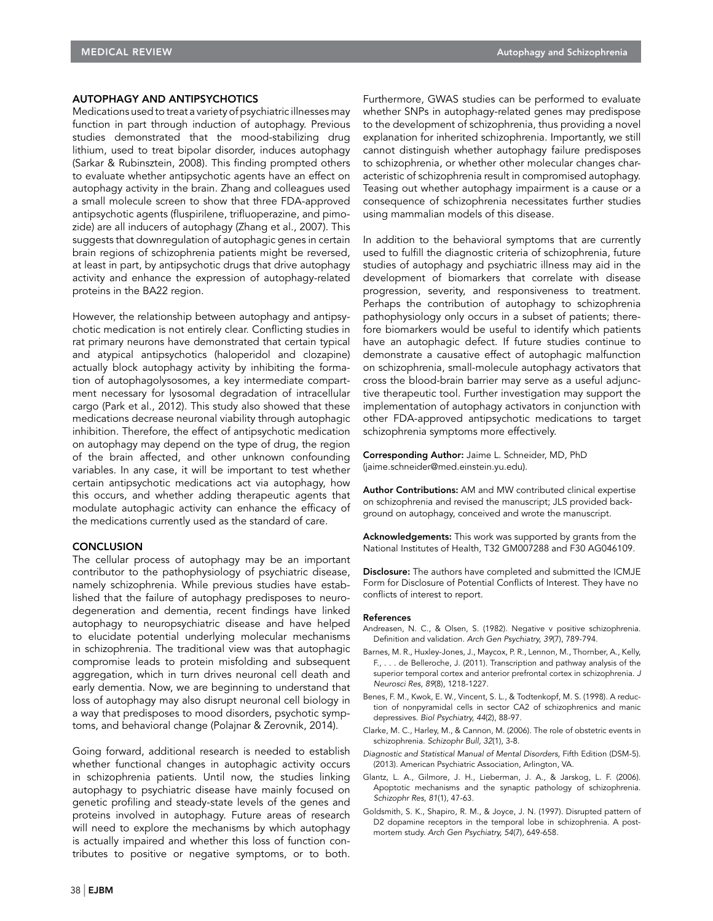#### AUTOPHAGY AND ANTIPSYCHOTICS

Medications used to treat a variety of psychiatric illnesses may function in part through induction of autophagy. Previous studies demonstrated that the mood-stabilizing drug lithium, used to treat bipolar disorder, induces autophagy (Sarkar & Rubinsztein, 2008). This finding prompted others to evaluate whether antipsychotic agents have an effect on autophagy activity in the brain. Zhang and colleagues used a small molecule screen to show that three FDA-approved antipsychotic agents (fluspirilene, trifluoperazine, and pimozide) are all inducers of autophagy (Zhang et al., 2007). This suggests that downregulation of autophagic genes in certain brain regions of schizophrenia patients might be reversed, at least in part, by antipsychotic drugs that drive autophagy activity and enhance the expression of autophagy-related proteins in the BA22 region.

However, the relationship between autophagy and antipsychotic medication is not entirely clear. Conflicting studies in rat primary neurons have demonstrated that certain typical and atypical antipsychotics (haloperidol and clozapine) actually block autophagy activity by inhibiting the formation of autophagolysosomes, a key intermediate compartment necessary for lysosomal degradation of intracellular cargo (Park et al., 2012). This study also showed that these medications decrease neuronal viability through autophagic inhibition. Therefore, the effect of antipsychotic medication on autophagy may depend on the type of drug, the region of the brain affected, and other unknown confounding variables. In any case, it will be important to test whether certain antipsychotic medications act via autophagy, how this occurs, and whether adding therapeutic agents that modulate autophagic activity can enhance the efficacy of the medications currently used as the standard of care.

### **CONCLUSION**

The cellular process of autophagy may be an important contributor to the pathophysiology of psychiatric disease, namely schizophrenia. While previous studies have established that the failure of autophagy predisposes to neurodegeneration and dementia, recent findings have linked autophagy to neuropsychiatric disease and have helped to elucidate potential underlying molecular mechanisms in schizophrenia. The traditional view was that autophagic compromise leads to protein misfolding and subsequent aggregation, which in turn drives neuronal cell death and early dementia. Now, we are beginning to understand that loss of autophagy may also disrupt neuronal cell biology in a way that predisposes to mood disorders, psychotic symptoms, and behavioral change (Polajnar & Zerovnik, 2014).

Going forward, additional research is needed to establish whether functional changes in autophagic activity occurs in schizophrenia patients. Until now, the studies linking autophagy to psychiatric disease have mainly focused on genetic profiling and steady-state levels of the genes and proteins involved in autophagy. Future areas of research will need to explore the mechanisms by which autophagy is actually impaired and whether this loss of function contributes to positive or negative symptoms, or to both.

Furthermore, GWAS studies can be performed to evaluate whether SNPs in autophagy-related genes may predispose to the development of schizophrenia, thus providing a novel explanation for inherited schizophrenia. Importantly, we still cannot distinguish whether autophagy failure predisposes to schizophrenia, or whether other molecular changes characteristic of schizophrenia result in compromised autophagy. Teasing out whether autophagy impairment is a cause or a consequence of schizophrenia necessitates further studies using mammalian models of this disease.

In addition to the behavioral symptoms that are currently used to fulfill the diagnostic criteria of schizophrenia, future studies of autophagy and psychiatric illness may aid in the development of biomarkers that correlate with disease progression, severity, and responsiveness to treatment. Perhaps the contribution of autophagy to schizophrenia pathophysiology only occurs in a subset of patients; therefore biomarkers would be useful to identify which patients have an autophagic defect. If future studies continue to demonstrate a causative effect of autophagic malfunction on schizophrenia, small-molecule autophagy activators that cross the blood-brain barrier may serve as a useful adjunctive therapeutic tool. Further investigation may support the implementation of autophagy activators in conjunction with other FDA-approved antipsychotic medications to target schizophrenia symptoms more effectively.

Corresponding Author: Jaime L. Schneider, MD, PhD (jaime.schneider@med.einstein.yu.edu).

Author Contributions: AM and MW contributed clinical expertise on schizophrenia and revised the manuscript; JLS provided background on autophagy, conceived and wrote the manuscript.

Acknowledgements: This work was supported by grants from the National Institutes of Health, T32 GM007288 and F30 AG046109.

Disclosure: The authors have completed and submitted the ICMJE Form for Disclosure of Potential Conflicts of Interest. They have no conflicts of interest to report.

#### References

- Andreasen, N. C., & Olsen, S. (1982). Negative v positive schizophrenia. Definition and validation. *Arch Gen Psychiatry, 39*(7), 789-794.
- Barnes, M. R., Huxley-Jones, J., Maycox, P. R., Lennon, M., Thornber, A., Kelly, F., . . . de Belleroche, J. (2011). Transcription and pathway analysis of the superior temporal cortex and anterior prefrontal cortex in schizophrenia. *J Neurosci Res, 89*(8), 1218-1227.
- Benes, F. M., Kwok, E. W., Vincent, S. L., & Todtenkopf, M. S. (1998). A reduction of nonpyramidal cells in sector CA2 of schizophrenics and manic depressives. *Biol Psychiatry, 44*(2), 88-97.
- Clarke, M. C., Harley, M., & Cannon, M. (2006). The role of obstetric events in schizophrenia. *Schizophr Bull, 32*(1), 3-8.
- *Diagnostic and Statistical Manual of Mental Disorders*, Fifth Edition (DSM-5). (2013). American Psychiatric Association, Arlington, VA.
- Glantz, L. A., Gilmore, J. H., Lieberman, J. A., & Jarskog, L. F. (2006). Apoptotic mechanisms and the synaptic pathology of schizophrenia. *Schizophr Res, 81*(1), 47-63.
- Goldsmith, S. K., Shapiro, R. M., & Joyce, J. N. (1997). Disrupted pattern of D2 dopamine receptors in the temporal lobe in schizophrenia. A postmortem study. *Arch Gen Psychiatry, 54*(7), 649-658.